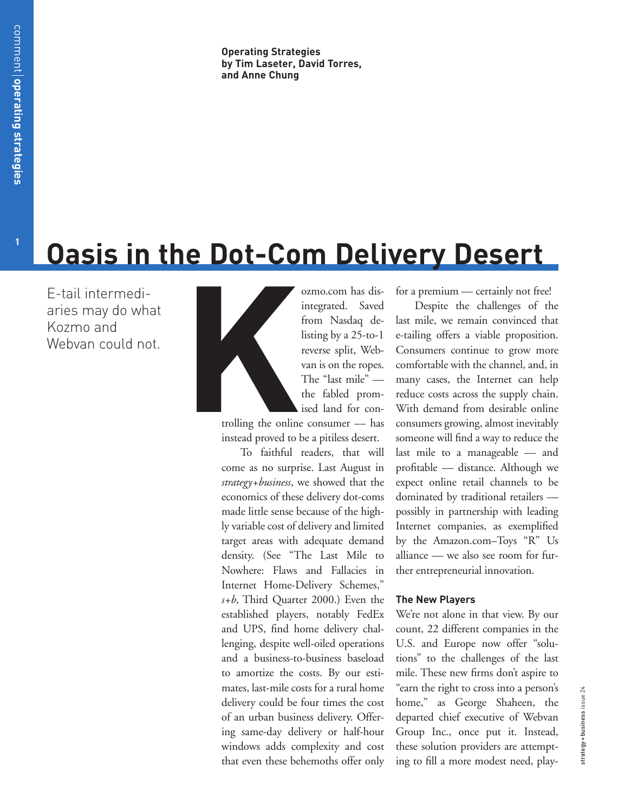# **Oasis in the Dot-Com Delivery Desert**

E-tail intermediaries may do what Kozmo and Webvan could not.



ozmo.com has disintegrated. Saved from Nasdaq delisting by a 25-to-1 reverse split, Webvan is on the ropes. The "last mile" the fabled promised land for con-

trolling the online consumer — has instead proved to be a pitiless desert.

To faithful readers, that will come as no surprise. Last August in *strategy+business*, we showed that the economics of these delivery dot-coms made little sense because of the highly variable cost of delivery and limited target areas with adequate demand density. (See "The Last Mile to Nowhere: Flaws and Fallacies in Internet Home-Delivery Schemes," *s+b*, Third Quarter 2000.) Even the established players, notably FedEx and UPS, find home delivery challenging, despite well-oiled operations and a business-to-business baseload to amortize the costs. By our estimates, last-mile costs for a rural home delivery could be four times the cost of an urban business delivery. Offering same-day delivery or half-hour windows adds complexity and cost that even these behemoths offer only

for a premium — certainly not free!

Despite the challenges of the last mile, we remain convinced that e-tailing offers a viable proposition. Consumers continue to grow more comfortable with the channel, and, in many cases, the Internet can help reduce costs across the supply chain. With demand from desirable online consumers growing, almost inevitably someone will find a way to reduce the last mile to a manageable — and profitable — distance. Although we expect online retail channels to be dominated by traditional retailers possibly in partnership with leading Internet companies, as exemplified by the Amazon.com–Toys "R" Us alliance — we also see room for further entrepreneurial innovation.

## **The New Players**

We're not alone in that view. By our count, 22 different companies in the U.S. and Europe now offer "solutions" to the challenges of the last mile. These new firms don't aspire to "earn the right to cross into a person's home," as George Shaheen, the departed chief executive of Webvan Group Inc., once put it. Instead, these solution providers are attempting to fill a more modest need, play-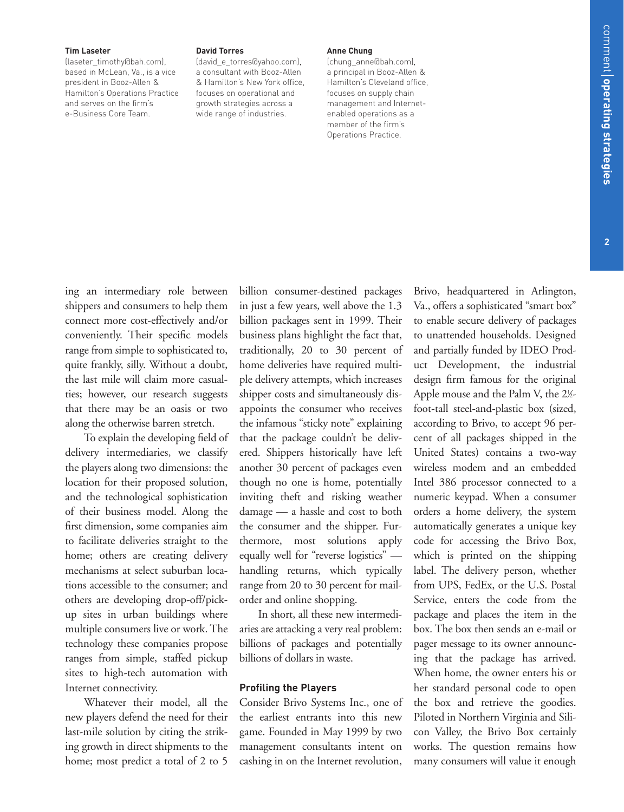#### **Tim Laseter**

(laseter\_timothy@bah.com), based in McLean, Va., is a vice president in Booz-Allen & Hamilton's Operations Practice and serves on the firm's e-Business Core Team.

ing an intermediary role between shippers and consumers to help them connect more cost-effectively and/or conveniently. Their specific models range from simple to sophisticated to, quite frankly, silly. Without a doubt, the last mile will claim more casualties; however, our research suggests that there may be an oasis or two along the otherwise barren stretch.

To explain the developing field of delivery intermediaries, we classify the players along two dimensions: the location for their proposed solution, and the technological sophistication of their business model. Along the first dimension, some companies aim to facilitate deliveries straight to the home; others are creating delivery mechanisms at select suburban locations accessible to the consumer; and others are developing drop-off/pickup sites in urban buildings where multiple consumers live or work. The technology these companies propose ranges from simple, staffed pickup sites to high-tech automation with

#### **David Torres**

(david\_e\_torres@yahoo.com), a consultant with Booz-Allen & Hamilton's New York office, focuses on operational and growth strategies across a wide range of industries.

#### **Anne Chung**

(chung\_anne@bah.com), a principal in Booz-Allen & Hamilton's Cleveland office,

> to unattended households. Designed and partially funded by IDEO Product Development, the industrial design firm famous for the original Apple mouse and the Palm V, the  $2\%$ foot-tall steel-and-plastic box (sized, according to Brivo, to accept 96 percent of all packages shipped in the United States) contains a two-way wireless modem and an embedded Intel 386 processor connected to a numeric keypad. When a consumer orders a home delivery, the system automatically generates a unique key code for accessing the Brivo Box, which is printed on the shipping label. The delivery person, whether from UPS, FedEx, or the U.S. Postal Service, enters the code from the package and places the item in the box. The box then sends an e-mail or pager message to its owner announcing that the package has arrived. When home, the owner enters his or her standard personal code to open

the box and retrieve the goodies. Piloted in Northern Virginia and Silicon Valley, the Brivo Box certainly works. The question remains how many consumers will value it enough

Brivo, headquartered in Arlington, Va., offers a sophisticated "smart box" to enable secure delivery of packages

Whatever their model, all the new players defend the need for their last-mile solution by citing the striking growth in direct shipments to the home; most predict a total of 2 to 5

Internet connectivity.

billion consumer-destined packages in just a few years, well above the 1.3 billion packages sent in 1999. Their business plans highlight the fact that, traditionally, 20 to 30 percent of home deliveries have required multiple delivery attempts, which increases shipper costs and simultaneously disappoints the consumer who receives the infamous "sticky note" explaining that the package couldn't be delivered. Shippers historically have left another 30 percent of packages even though no one is home, potentially inviting theft and risking weather damage — a hassle and cost to both the consumer and the shipper. Furthermore, most solutions apply equally well for "reverse logistics" handling returns, which typically range from 20 to 30 percent for mailorder and online shopping.

In short, all these new intermediaries are attacking a very real problem: billions of packages and potentially billions of dollars in waste.

#### **Profiling the Players**

Consider Brivo Systems Inc., one of the earliest entrants into this new game. Founded in May 1999 by two management consultants intent on cashing in on the Internet revolution,

focuses on supply chain management and Internetenabled operations as a member of the firm's Operations Practice.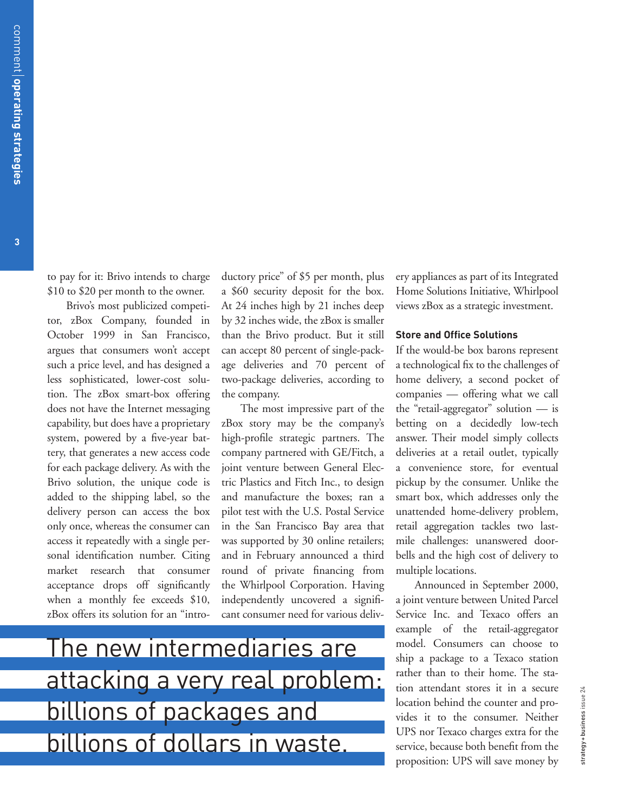to pay for it: Brivo intends to charge \$10 to \$20 per month to the owner.

Brivo's most publicized competitor, zBox Company, founded in October 1999 in San Francisco, argues that consumers won't accept such a price level, and has designed a less sophisticated, lower-cost solution. The zBox smart-box offering does not have the Internet messaging capability, but does have a proprietary system, powered by a five-year battery, that generates a new access code for each package delivery. As with the Brivo solution, the unique code is added to the shipping label, so the delivery person can access the box only once, whereas the consumer can access it repeatedly with a single personal identification number. Citing market research that consumer acceptance drops off significantly when a monthly fee exceeds \$10, zBox offers its solution for an "introductory price" of \$5 per month, plus a \$60 security deposit for the box. At 24 inches high by 21 inches deep by 32 inches wide, the zBox is smaller than the Brivo product. But it still can accept 80 percent of single-package deliveries and 70 percent of two-package deliveries, according to the company.

The most impressive part of the zBox story may be the company's high-profile strategic partners. The company partnered with GE/Fitch, a joint venture between General Electric Plastics and Fitch Inc., to design and manufacture the boxes; ran a pilot test with the U.S. Postal Service in the San Francisco Bay area that was supported by 30 online retailers; and in February announced a third round of private financing from the Whirlpool Corporation. Having independently uncovered a significant consumer need for various delivery appliances as part of its Integrated Home Solutions Initiative, Whirlpool views zBox as a strategic investment.

#### **Store and Office Solutions**

If the would-be box barons represent a technological fix to the challenges of home delivery, a second pocket of companies — offering what we call the "retail-aggregator" solution — is betting on a decidedly low-tech answer. Their model simply collects deliveries at a retail outlet, typically a convenience store, for eventual pickup by the consumer. Unlike the smart box, which addresses only the unattended home-delivery problem, retail aggregation tackles two lastmile challenges: unanswered doorbells and the high cost of delivery to multiple locations.

Announced in September 2000, a joint venture between United Parcel Service Inc. and Texaco offers an example of the retail-aggregator model. Consumers can choose to ship a package to a Texaco station rather than to their home. The station attendant stores it in a secure location behind the counter and provides it to the consumer. Neither UPS nor Texaco charges extra for the service, because both benefit from the proposition: UPS will save money by

The new intermediaries are attacking a very real problem: billions of packages and billions of dollars in waste.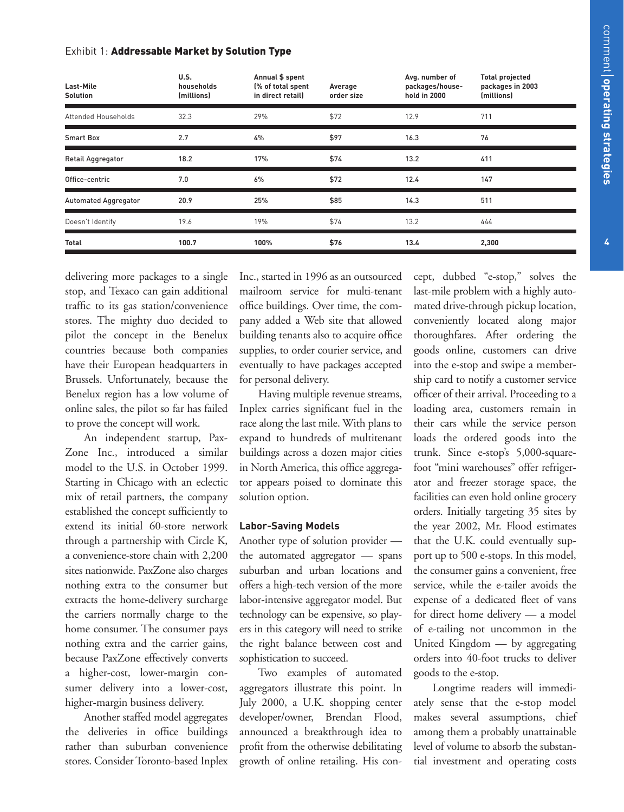## Exhibit 1: Addressable Market by Solution Type

| Last-Mile<br><b>Solution</b> | U.S.<br>households<br>(millions) | Annual \$ spent<br>(% of total spent<br>in direct retail) | Average<br>order size | Avg. number of<br>packages/house-<br>hold in 2000 | <b>Total projected</b><br>packages in 2003<br>(millions) |
|------------------------------|----------------------------------|-----------------------------------------------------------|-----------------------|---------------------------------------------------|----------------------------------------------------------|
| Attended Households          | 32.3                             | 29%                                                       | \$72                  | 12.9                                              | 711                                                      |
| <b>Smart Box</b>             | 2.7                              | 4%                                                        | \$97                  | 16.3                                              | 76                                                       |
| <b>Retail Aggregator</b>     | 18.2                             | 17%                                                       | \$74                  | 13.2                                              | 411                                                      |
| Office-centric               | 7.0                              | 6%                                                        | \$72                  | 12.4                                              | 147                                                      |
| <b>Automated Aggregator</b>  | 20.9                             | 25%                                                       | \$85                  | 14.3                                              | 511                                                      |
| Doesn't Identify             | 19.6                             | 19%                                                       | \$74                  | 13.2                                              | 444                                                      |
| Total                        | 100.7                            | 100%                                                      | \$76                  | 13.4                                              | 2,300                                                    |

delivering more packages to a single stop, and Texaco can gain additional traffic to its gas station/convenience stores. The mighty duo decided to pilot the concept in the Benelux countries because both companies have their European headquarters in Brussels. Unfortunately, because the Benelux region has a low volume of online sales, the pilot so far has failed to prove the concept will work.

An independent startup, Pax-Zone Inc., introduced a similar model to the U.S. in October 1999. Starting in Chicago with an eclectic mix of retail partners, the company established the concept sufficiently to extend its initial 60-store network through a partnership with Circle K, a convenience-store chain with 2,200 sites nationwide. PaxZone also charges nothing extra to the consumer but extracts the home-delivery surcharge the carriers normally charge to the home consumer. The consumer pays nothing extra and the carrier gains, because PaxZone effectively converts a higher-cost, lower-margin consumer delivery into a lower-cost, higher-margin business delivery.

Another staffed model aggregates the deliveries in office buildings rather than suburban convenience stores. Consider Toronto-based Inplex Inc., started in 1996 as an outsourced mailroom service for multi-tenant office buildings. Over time, the company added a Web site that allowed building tenants also to acquire office supplies, to order courier service, and eventually to have packages accepted for personal delivery.

Having multiple revenue streams, Inplex carries significant fuel in the race along the last mile. With plans to expand to hundreds of multitenant buildings across a dozen major cities in North America, this office aggregator appears poised to dominate this solution option.

## **Labor-Saving Models**

Another type of solution provider the automated aggregator — spans suburban and urban locations and offers a high-tech version of the more labor-intensive aggregator model. But technology can be expensive, so players in this category will need to strike the right balance between cost and sophistication to succeed.

Two examples of automated aggregators illustrate this point. In July 2000, a U.K. shopping center developer/owner, Brendan Flood, announced a breakthrough idea to profit from the otherwise debilitating growth of online retailing. His concept, dubbed "e-stop," solves the last-mile problem with a highly automated drive-through pickup location, conveniently located along major thoroughfares. After ordering the goods online, customers can drive into the e-stop and swipe a membership card to notify a customer service officer of their arrival. Proceeding to a loading area, customers remain in their cars while the service person loads the ordered goods into the trunk. Since e-stop's 5,000-squarefoot "mini warehouses" offer refrigerator and freezer storage space, the facilities can even hold online grocery orders. Initially targeting 35 sites by the year 2002, Mr. Flood estimates that the U.K. could eventually support up to 500 e-stops. In this model, the consumer gains a convenient, free service, while the e-tailer avoids the expense of a dedicated fleet of vans for direct home delivery — a model of e-tailing not uncommon in the United Kingdom — by aggregating orders into 40-foot trucks to deliver goods to the e-stop.

Longtime readers will immediately sense that the e-stop model makes several assumptions, chief among them a probably unattainable level of volume to absorb the substantial investment and operating costs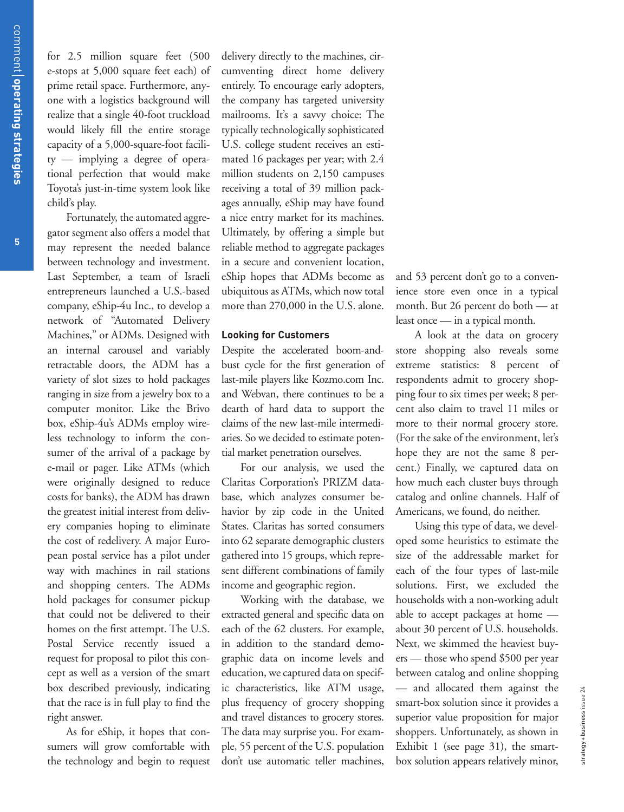for 2.5 million square feet (500 e-stops at 5,000 square feet each) of prime retail space. Furthermore, anyone with a logistics background will realize that a single 40-foot truckload would likely fill the entire storage capacity of a 5,000-square-foot facility — implying a degree of operational perfection that would make Toyota's just-in-time system look like child's play.

Fortunately, the automated aggregator segment also offers a model that may represent the needed balance between technology and investment. Last September, a team of Israeli entrepreneurs launched a U.S.-based company, eShip-4u Inc., to develop a network of "Automated Delivery Machines," or ADMs. Designed with an internal carousel and variably retractable doors, the ADM has a variety of slot sizes to hold packages ranging in size from a jewelry box to a computer monitor. Like the Brivo box, eShip-4u's ADMs employ wireless technology to inform the consumer of the arrival of a package by e-mail or pager. Like ATMs (which were originally designed to reduce costs for banks), the ADM has drawn the greatest initial interest from delivery companies hoping to eliminate the cost of redelivery. A major European postal service has a pilot under way with machines in rail stations and shopping centers. The ADMs hold packages for consumer pickup that could not be delivered to their homes on the first attempt. The U.S. Postal Service recently issued a request for proposal to pilot this concept as well as a version of the smart box described previously, indicating that the race is in full play to find the right answer.

As for eShip, it hopes that consumers will grow comfortable with the technology and begin to request delivery directly to the machines, circumventing direct home delivery entirely. To encourage early adopters, the company has targeted university mailrooms. It's a savvy choice: The typically technologically sophisticated U.S. college student receives an estimated 16 packages per year; with 2.4 million students on 2,150 campuses receiving a total of 39 million packages annually, eShip may have found a nice entry market for its machines. Ultimately, by offering a simple but reliable method to aggregate packages in a secure and convenient location, eShip hopes that ADMs become as ubiquitous as ATMs, which now total more than 270,000 in the U.S. alone.

## **Looking for Customers**

Despite the accelerated boom-andbust cycle for the first generation of last-mile players like Kozmo.com Inc. and Webvan, there continues to be a dearth of hard data to support the claims of the new last-mile intermediaries. So we decided to estimate potential market penetration ourselves.

For our analysis, we used the Claritas Corporation's PRIZM database, which analyzes consumer behavior by zip code in the United States. Claritas has sorted consumers into 62 separate demographic clusters gathered into 15 groups, which represent different combinations of family income and geographic region.

Working with the database, we extracted general and specific data on each of the 62 clusters. For example, in addition to the standard demographic data on income levels and education, we captured data on specific characteristics, like ATM usage, plus frequency of grocery shopping and travel distances to grocery stores. The data may surprise you. For example, 55 percent of the U.S. population don't use automatic teller machines,

and 53 percent don't go to a convenience store even once in a typical month. But 26 percent do both — at least once — in a typical month.

A look at the data on grocery store shopping also reveals some extreme statistics: 8 percent of respondents admit to grocery shopping four to six times per week; 8 percent also claim to travel 11 miles or more to their normal grocery store. (For the sake of the environment, let's hope they are not the same 8 percent.) Finally, we captured data on how much each cluster buys through catalog and online channels. Half of Americans, we found, do neither.

Using this type of data, we developed some heuristics to estimate the size of the addressable market for each of the four types of last-mile solutions. First, we excluded the households with a non-working adult able to accept packages at home about 30 percent of U.S. households. Next, we skimmed the heaviest buyers — those who spend \$500 per year between catalog and online shopping — and allocated them against the smart-box solution since it provides a superior value proposition for major shoppers. Unfortunately, as shown in Exhibit 1 (see page 31), the smartbox solution appears relatively minor,